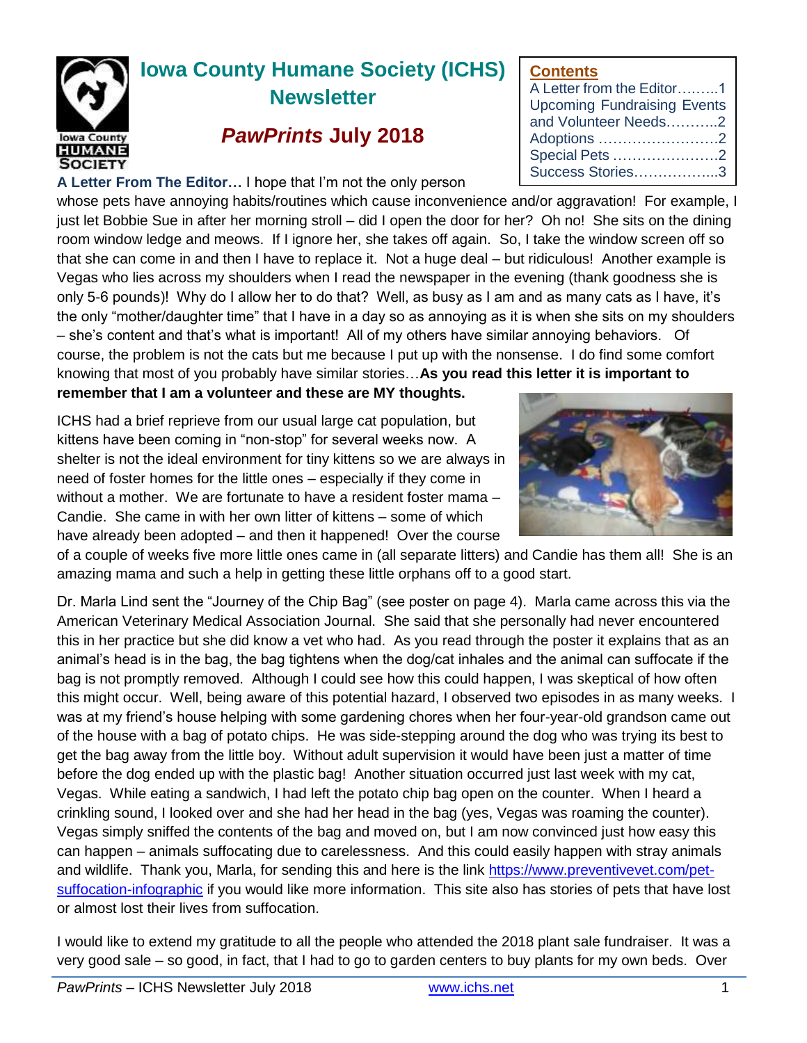

# **Iowa County Humane Society (ICHS) Newsletter**

## *PawPrints* **July 2018**

**A Letter From The Editor…** I hope that I'm not the only person

whose pets have annoying habits/routines which cause inconvenience and/or aggravation! For example, I just let Bobbie Sue in after her morning stroll – did I open the door for her? Oh no! She sits on the dining room window ledge and meows. If I ignore her, she takes off again. So, I take the window screen off so that she can come in and then I have to replace it. Not a huge deal – but ridiculous! Another example is Vegas who lies across my shoulders when I read the newspaper in the evening (thank goodness she is only 5-6 pounds)! Why do I allow her to do that? Well, as busy as I am and as many cats as I have, it's the only "mother/daughter time" that I have in a day so as annoying as it is when she sits on my shoulders – she's content and that's what is important! All of my others have similar annoying behaviors. Of course, the problem is not the cats but me because I put up with the nonsense. I do find some comfort knowing that most of you probably have similar stories…**As you read this letter it is important to remember that I am a volunteer and these are MY thoughts.** 

ICHS had a brief reprieve from our usual large cat population, but kittens have been coming in "non-stop" for several weeks now. A shelter is not the ideal environment for tiny kittens so we are always in need of foster homes for the little ones – especially if they come in without a mother. We are fortunate to have a resident foster mama – Candie. She came in with her own litter of kittens – some of which have already been adopted – and then it happened! Over the course

of a couple of weeks five more little ones came in (all separate litters) and Candie has them all! She is an amazing mama and such a help in getting these little orphans off to a good start.

Dr. Marla Lind sent the "Journey of the Chip Bag" (see poster on page 4). Marla came across this via the American Veterinary Medical Association Journal. She said that she personally had never encountered this in her practice but she did know a vet who had. As you read through the poster it explains that as an animal's head is in the bag, the bag tightens when the dog/cat inhales and the animal can suffocate if the bag is not promptly removed. Although I could see how this could happen, I was skeptical of how often this might occur. Well, being aware of this potential hazard, I observed two episodes in as many weeks. I was at my friend's house helping with some gardening chores when her four-year-old grandson came out of the house with a bag of potato chips. He was side-stepping around the dog who was trying its best to get the bag away from the little boy. Without adult supervision it would have been just a matter of time before the dog ended up with the plastic bag! Another situation occurred just last week with my cat, Vegas. While eating a sandwich, I had left the potato chip bag open on the counter. When I heard a crinkling sound, I looked over and she had her head in the bag (yes, Vegas was roaming the counter). Vegas simply sniffed the contents of the bag and moved on, but I am now convinced just how easy this can happen – animals suffocating due to carelessness. And this could easily happen with stray animals and wildlife. Thank you, Marla, for sending this and here is the link [https://www.preventivevet.com/pet](https://www.preventivevet.com/pet-suffocation-infographic)[suffocation-infographic](https://www.preventivevet.com/pet-suffocation-infographic) if you would like more information. This site also has stories of pets that have lost or almost lost their lives from suffocation.

I would like to extend my gratitude to all the people who attended the 2018 plant sale fundraiser. It was a very good sale – so good, in fact, that I had to go to garden centers to buy plants for my own beds. Over

### **Contents**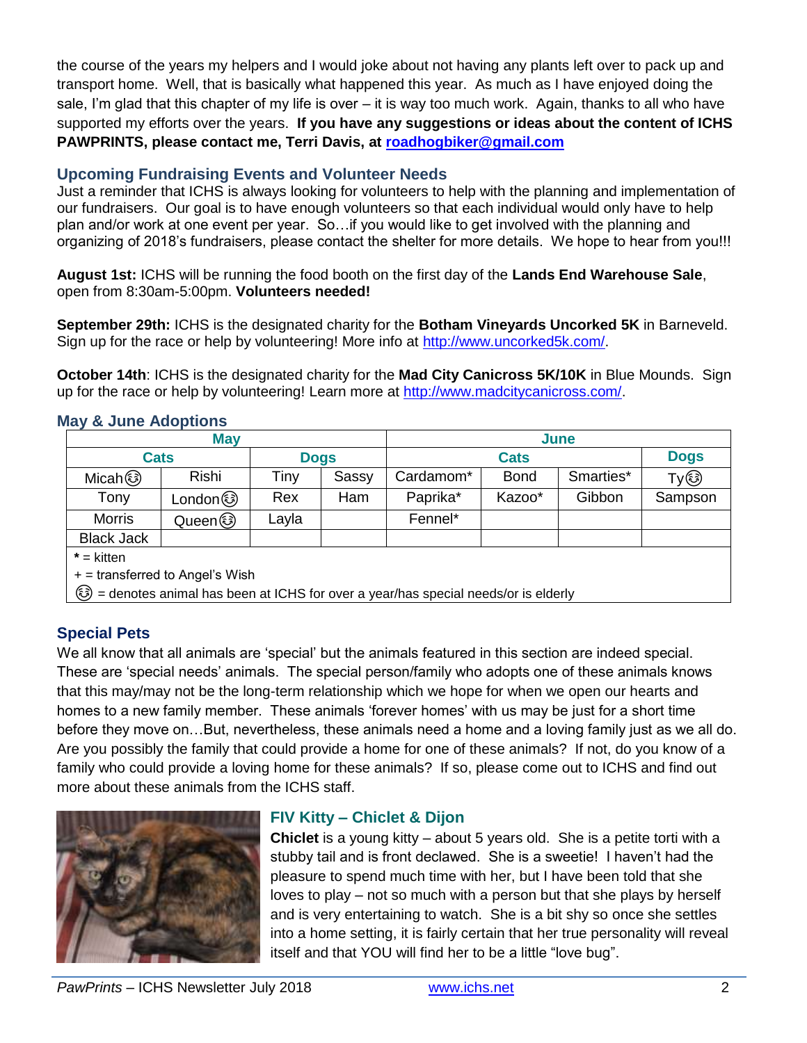the course of the years my helpers and I would joke about not having any plants left over to pack up and transport home. Well, that is basically what happened this year. As much as I have enjoyed doing the sale, I'm glad that this chapter of my life is over – it is way too much work. Again, thanks to all who have supported my efforts over the years. **If you have any suggestions or ideas about the content of ICHS PAWPRINTS, please contact me, Terri Davis, at [roadhogbiker@gmail.com](mailto:roadhogbiker@gmail.com)**

#### **Upcoming Fundraising Events and Volunteer Needs**

Just a reminder that ICHS is always looking for volunteers to help with the planning and implementation of our fundraisers. Our goal is to have enough volunteers so that each individual would only have to help plan and/or work at one event per year. So…if you would like to get involved with the planning and organizing of 2018's fundraisers, please contact the shelter for more details. We hope to hear from you!!!

**August 1st:** ICHS will be running the food booth on the first day of the **Lands End Warehouse Sale**, open from 8:30am-5:00pm. **Volunteers needed!**

**September 29th:** ICHS is the designated charity for the **Botham Vineyards Uncorked 5K** in Barneveld. Sign up for the race or help by volunteering! More info at [http://www.uncorked5k.com/.](http://www.uncorked5k.com/)

**October 14th**: ICHS is the designated charity for the **Mad City Canicross 5K/10K** in Blue Mounds. Sign up for the race or help by volunteering! Learn more at [http://www.madcitycanicross.com/.](http://www.madcitycanicross.com/)

#### **May & June Adoptions**

| <b>May</b>                                                                       |         |             |       | June        |             |           |             |  |
|----------------------------------------------------------------------------------|---------|-------------|-------|-------------|-------------|-----------|-------------|--|
| <b>Cats</b>                                                                      |         | <b>Dogs</b> |       | <b>Cats</b> |             |           | <b>Dogs</b> |  |
| Micah (S)                                                                        | Rishi   | Tiny        | Sassy | Cardamom*   | <b>Bond</b> | Smarties* | Ty®         |  |
| Tony                                                                             |         | Rex         | Ham   | Paprika*    | Kazoo*      | Gibbon    | Sampson     |  |
| <b>Morris</b>                                                                    | Queen ۞ | Layla       |       | Fennel*     |             |           |             |  |
| <b>Black Jack</b>                                                                |         |             |       |             |             |           |             |  |
| $*$ = kitten                                                                     |         |             |       |             |             |           |             |  |
| $+$ = transferred to Angel's Wish                                                |         |             |       |             |             |           |             |  |
| edenotes animal has been at ICHS for over a year/has special needs/or is elderly |         |             |       |             |             |           |             |  |

#### **Special Pets**

We all know that all animals are 'special' but the animals featured in this section are indeed special. These are 'special needs' animals. The special person/family who adopts one of these animals knows that this may/may not be the long-term relationship which we hope for when we open our hearts and homes to a new family member. These animals 'forever homes' with us may be just for a short time before they move on…But, nevertheless, these animals need a home and a loving family just as we all do. Are you possibly the family that could provide a home for one of these animals? If not, do you know of a family who could provide a loving home for these animals? If so, please come out to ICHS and find out more about these animals from the ICHS staff.



#### **FIV Kitty – Chiclet & Dijon**

**Chiclet** is a young kitty – about 5 years old. She is a petite torti with a stubby tail and is front declawed. She is a sweetie! I haven't had the pleasure to spend much time with her, but I have been told that she loves to play – not so much with a person but that she plays by herself and is very entertaining to watch. She is a bit shy so once she settles into a home setting, it is fairly certain that her true personality will reveal itself and that YOU will find her to be a little "love bug".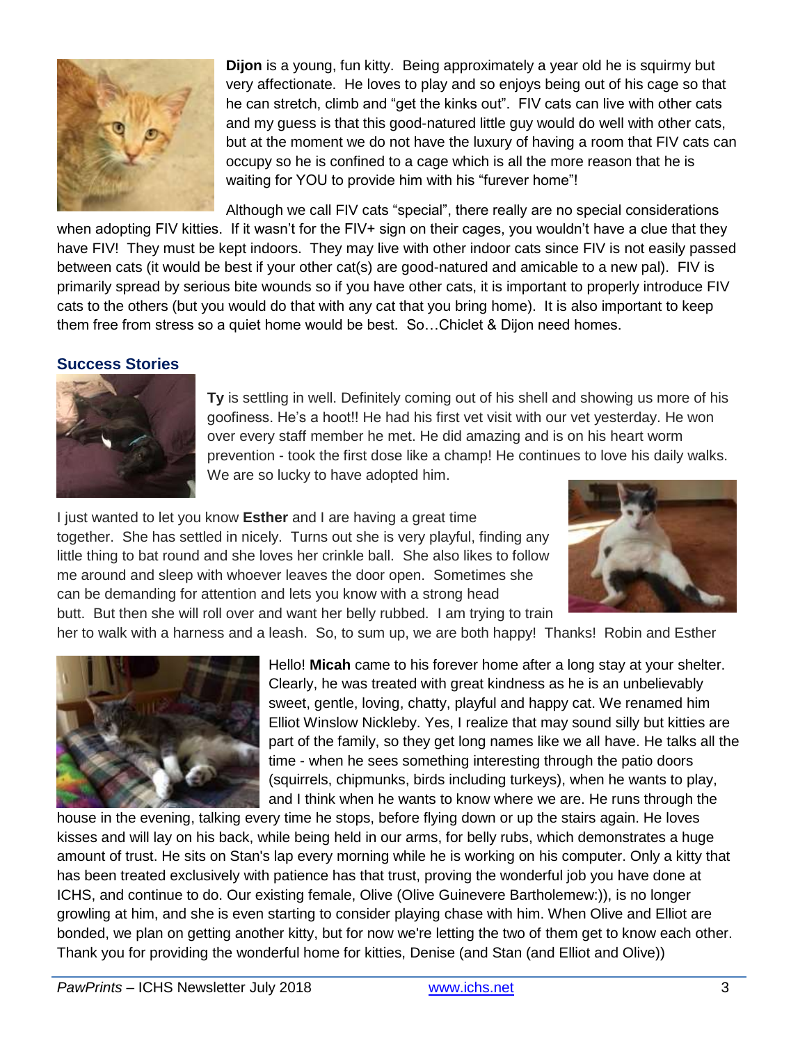

**Dijon** is a young, fun kitty. Being approximately a year old he is squirmy but very affectionate. He loves to play and so enjoys being out of his cage so that he can stretch, climb and "get the kinks out". FIV cats can live with other cats and my guess is that this good-natured little guy would do well with other cats, but at the moment we do not have the luxury of having a room that FIV cats can occupy so he is confined to a cage which is all the more reason that he is waiting for YOU to provide him with his "furever home"!

Although we call FIV cats "special", there really are no special considerations

when adopting FIV kitties. If it wasn't for the FIV+ sign on their cages, you wouldn't have a clue that they have FIV! They must be kept indoors. They may live with other indoor cats since FIV is not easily passed between cats (it would be best if your other cat(s) are good-natured and amicable to a new pal). FIV is primarily spread by serious bite wounds so if you have other cats, it is important to properly introduce FIV cats to the others (but you would do that with any cat that you bring home). It is also important to keep them free from stress so a quiet home would be best. So…Chiclet & Dijon need homes.

#### **Success Stories**



**Ty** is settling in well. Definitely coming out of his shell and showing us more of his goofiness. He's a hoot!! He had his first vet visit with our vet yesterday. He won over every staff member he met. He did amazing and is on his heart worm prevention - took the first dose like a champ! He continues to love his daily walks. We are so lucky to have adopted him.

I just wanted to let you know **Esther** and I are having a great time together. She has settled in nicely. Turns out she is very playful, finding any little thing to bat round and she loves her crinkle ball. She also likes to follow me around and sleep with whoever leaves the door open. Sometimes she can be demanding for attention and lets you know with a strong head butt. But then she will roll over and want her belly rubbed. I am trying to train



her to walk with a harness and a leash. So, to sum up, we are both happy! Thanks! Robin and Esther



Hello! **Micah** came to his forever home after a long stay at your shelter. Clearly, he was treated with great kindness as he is an unbelievably sweet, gentle, loving, chatty, playful and happy cat. We renamed him Elliot Winslow Nickleby. Yes, I realize that may sound silly but kitties are part of the family, so they get long names like we all have. He talks all the time - when he sees something interesting through the patio doors (squirrels, chipmunks, birds including turkeys), when he wants to play, and I think when he wants to know where we are. He runs through the

house in the evening, talking every time he stops, before flying down or up the stairs again. He loves kisses and will lay on his back, while being held in our arms, for belly rubs, which demonstrates a huge amount of trust. He sits on Stan's lap every morning while he is working on his computer. Only a kitty that has been treated exclusively with patience has that trust, proving the wonderful job you have done at ICHS, and continue to do. Our existing female, Olive (Olive Guinevere Bartholemew:)), is no longer growling at him, and she is even starting to consider playing chase with him. When Olive and Elliot are bonded, we plan on getting another kitty, but for now we're letting the two of them get to know each other. Thank you for providing the wonderful home for kitties, Denise (and Stan (and Elliot and Olive))